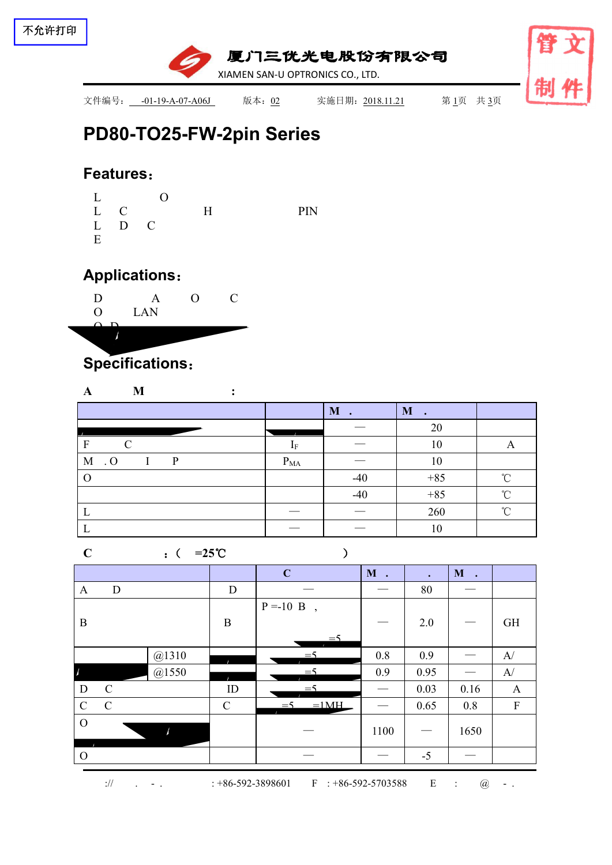

# **PD80-TO25-FW-2pin [Series](file:///C:/Users/Administrator/AppData/Local/youdao/dict/Application/7.5.2.0/resultui/dict/?keyword=series)**

### **Features**:

|   |         | $\mathbf{L}$ 0 |            |  |
|---|---------|----------------|------------|--|
|   |         | L C H          | <b>PIN</b> |  |
|   | $L$ D C |                |            |  |
| E |         |                |            |  |

## **Applications**:



## **Specifications**:

#### **A M :**

|                  |          | M.<br>$\cdot$ | M     |            |
|------------------|----------|---------------|-------|------------|
|                  |          |               | 20    |            |
| F                |          |               | 10    |            |
| $M \cdot O$<br>D | $P_{MA}$ |               | 10    |            |
|                  |          | $-40$         | $+85$ | $\sim$     |
|                  |          | $-40$         | $+85$ | $^{\circ}$ |
|                  |          |               | 260   | $\sim$     |
| ∸                |          |               | 10    |            |

#### **C** :( **=25**℃ )

|                          |               |       |               | $\mathbf C$                             | $\mathbf M$ . |                               | $\mathbf M$<br>$\sim$ |              |
|--------------------------|---------------|-------|---------------|-----------------------------------------|---------------|-------------------------------|-----------------------|--------------|
| $\mathbf{A}$             | $\mathbf D$   |       | $\mathbf D$   |                                         |               | 80                            |                       |              |
|                          |               |       |               | $P = -10$ B<br>$\overline{\phantom{a}}$ |               |                               |                       |              |
| $\, {\bf B}$             |               |       | $\bf{B}$      |                                         |               | 2.0                           |                       | <b>GH</b>    |
|                          |               |       |               | $=$ 5                                   |               |                               |                       |              |
|                          |               | @1310 |               | $=$ 5                                   | 0.8           | 0.9                           |                       | A/           |
| $\overline{\mathcal{A}}$ |               | @1550 |               | $=$ 5                                   | 0.9           | 0.95                          |                       | A/           |
| $\mathbf D$              | $\mathcal{C}$ |       | $\rm ID$      | $=$ 5                                   |               | 0.03                          | 0.16                  | $\mathbf{A}$ |
| $\mathcal{C}$            | $\mathcal{C}$ |       | $\mathcal{C}$ | $=1$ MH<br>$=$ 5                        |               | 0.65                          | 0.8                   | $\mathbf{F}$ |
| $\mathcal{O}$            |               |       |               |                                         | 1100          | $\overbrace{\phantom{13333}}$ | 1650                  |              |
| $\mathbf{O}$             |               |       |               |                                         |               | $-5$                          | $\qquad \qquad$       |              |

:// . - . : +86-592-3898601 F : +86-592-5703588 E : @ - .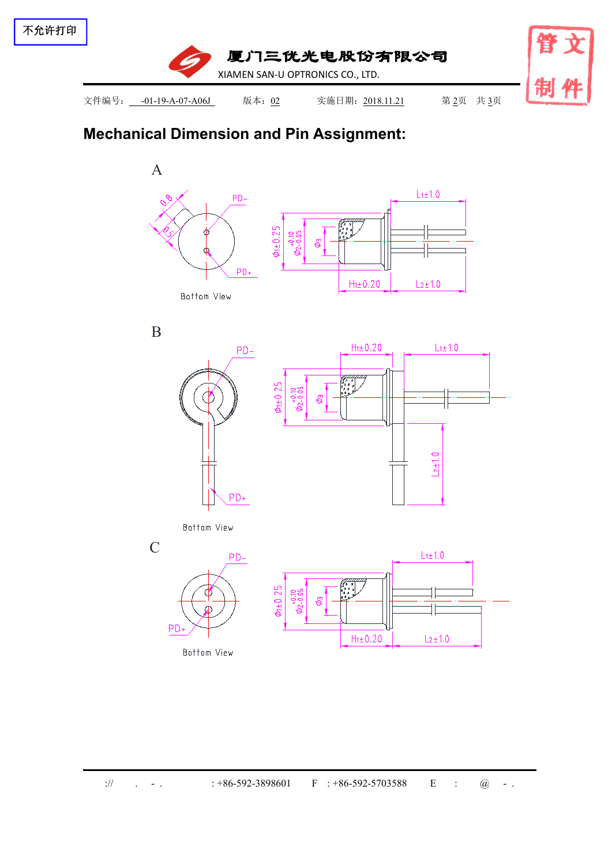

## **Mechanical Dimension and Pin Assignment:**